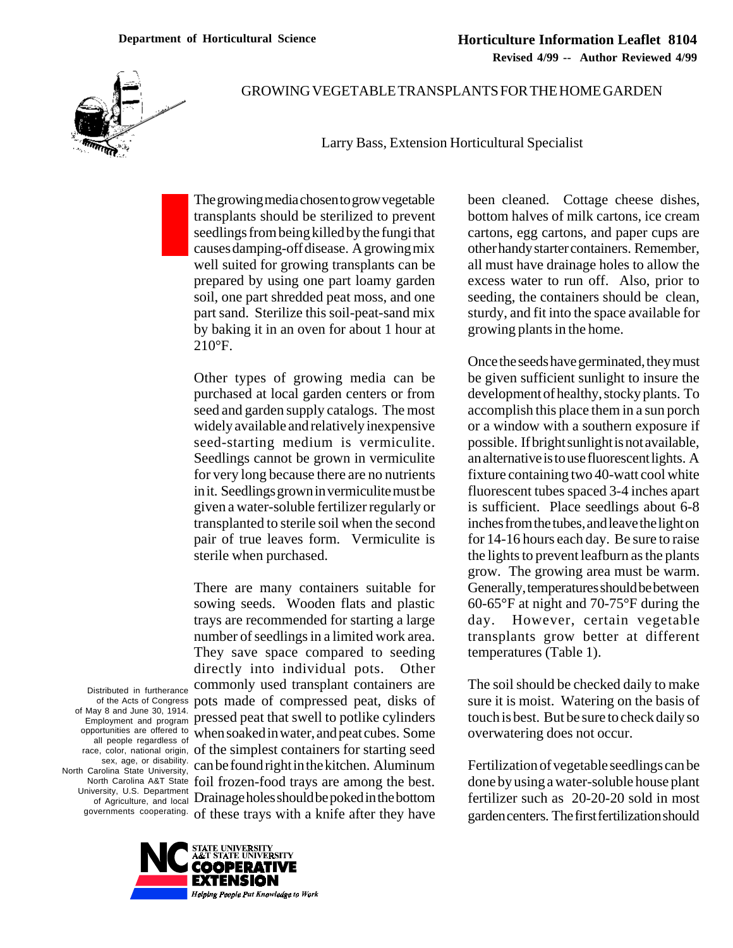

## GROWING VEGETABLE TRANSPLANTS FOR THE HOME GARDEN

Larry Bass, Extension Horticultural Specialist

The growing media chosen to grow vegetable transplants should be sterilized to prevent seedlings from being killed by the fungi that causes damping-off disease. A growing mix well suited for growing transplants can be prepared by using one part loamy garden soil, one part shredded peat moss, and one part sand. Sterilize this soil-peat-sand mix by baking it in an oven for about 1 hour at 210°F.

Other types of growing media can be purchased at local garden centers or from seed and garden supply catalogs. The most widely available and relatively inexpensive seed-starting medium is vermiculite. Seedlings cannot be grown in vermiculite for very long because there are no nutrients in it. Seedlings grown in vermiculite must be given a water-soluble fertilizer regularly or transplanted to sterile soil when the second pair of true leaves form. Vermiculite is sterile when purchased.

governments cooperating. of these trays with a knife after they have There are many containers suitable for sowing seeds. Wooden flats and plastic trays are recommended for starting a large number of seedlings in a limited work area. They save space compared to seeding directly into individual pots. Other commonly used transplant containers are pots made of compressed peat, disks of pressed peat that swell to potlike cylinders when soaked in water, and peat cubes. Some of the simplest containers for starting seed can be found right in the kitchen. Aluminum foil frozen-food trays are among the best. Drainage holes should be poked in the bottom

Distributed in furtherance of the Acts of Congress of May 8 and June 30, 1914. Employment and program opportunities are offered to all people regardless of race, color, national origin, sex, age, or disability. North Carolina State University, North Carolina A&T State University, U.S. Department of Agriculture, and local



been cleaned. Cottage cheese dishes, bottom halves of milk cartons, ice cream cartons, egg cartons, and paper cups are other handy starter containers. Remember, all must have drainage holes to allow the excess water to run off. Also, prior to seeding, the containers should be clean, sturdy, and fit into the space available for growing plants in the home.

Once the seeds have germinated, they must be given sufficient sunlight to insure the development of healthy, stocky plants. To accomplish this place them in a sun porch or a window with a southern exposure if possible. If bright sunlight is not available, an alternative is to use fluorescent lights. A fixture containing two 40-watt cool white fluorescent tubes spaced 3-4 inches apart is sufficient. Place seedlings about 6-8 inches from the tubes, and leave the light on for 14-16 hours each day. Be sure to raise the lights to prevent leafburn as the plants grow. The growing area must be warm. Generally, temperatures should be between 60-65°F at night and 70-75°F during the day. However, certain vegetable transplants grow better at different temperatures (Table 1).

The soil should be checked daily to make sure it is moist. Watering on the basis of touch is best. But be sure to check daily so overwatering does not occur.

Fertilization of vegetable seedlings can be done by using a water-soluble house plant fertilizer such as 20-20-20 sold in most garden centers. The first fertilization should